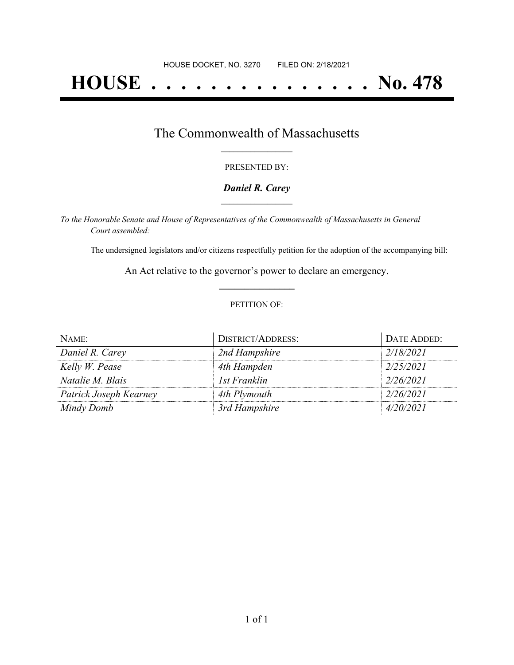# **HOUSE . . . . . . . . . . . . . . . No. 478**

### The Commonwealth of Massachusetts **\_\_\_\_\_\_\_\_\_\_\_\_\_\_\_\_\_**

#### PRESENTED BY:

#### *Daniel R. Carey* **\_\_\_\_\_\_\_\_\_\_\_\_\_\_\_\_\_**

*To the Honorable Senate and House of Representatives of the Commonwealth of Massachusetts in General Court assembled:*

The undersigned legislators and/or citizens respectfully petition for the adoption of the accompanying bill:

An Act relative to the governor's power to declare an emergency. **\_\_\_\_\_\_\_\_\_\_\_\_\_\_\_**

#### PETITION OF:

| NAME:                  | <b>DISTRICT/ADDRESS:</b> | DATE ADDED: |
|------------------------|--------------------------|-------------|
| Daniel R. Carey        | 2nd Hampshire            | 2/18/2021   |
| Kelly W. Pease         | 4th Hampden              | 2/25/2021   |
| Natalie M. Blais       | 1st Franklin             | 2/26/2021   |
| Patrick Joseph Kearney | 4th Plymouth             | 2/26/2021   |
| Mindy Domb             | 3rd Hampshire            | 4/20/2021   |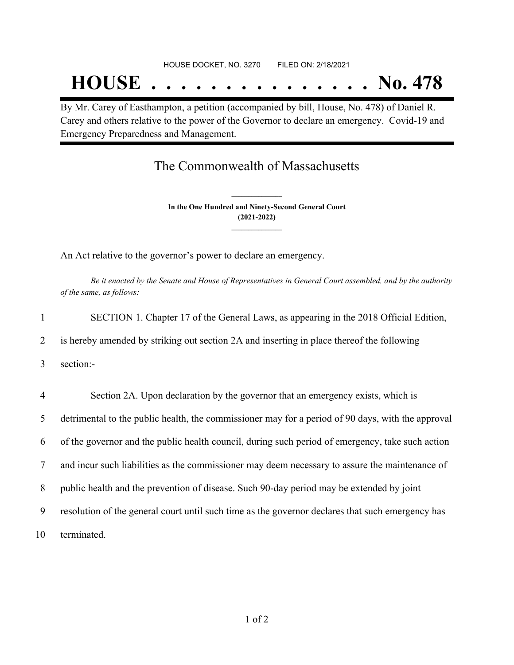By Mr. Carey of Easthampton, a petition (accompanied by bill, House, No. 478) of Daniel R. Carey and others relative to the power of the Governor to declare an emergency. Covid-19 and Emergency Preparedness and Management.

## The Commonwealth of Massachusetts

**In the One Hundred and Ninety-Second General Court (2021-2022) \_\_\_\_\_\_\_\_\_\_\_\_\_\_\_**

**\_\_\_\_\_\_\_\_\_\_\_\_\_\_\_**

An Act relative to the governor's power to declare an emergency.

Be it enacted by the Senate and House of Representatives in General Court assembled, and by the authority *of the same, as follows:*

| $\mathbf{1}$ | SECTION 1. Chapter 17 of the General Laws, as appearing in the 2018 Official Edition,             |
|--------------|---------------------------------------------------------------------------------------------------|
| 2            | is hereby amended by striking out section 2A and inserting in place thereof the following         |
| 3            | section:-                                                                                         |
| 4            | Section 2A. Upon declaration by the governor that an emergency exists, which is                   |
| 5            | detrimental to the public health, the commissioner may for a period of 90 days, with the approval |
| 6            | of the governor and the public health council, during such period of emergency, take such action  |
| 7            | and incur such liabilities as the commissioner may deem necessary to assure the maintenance of    |
| 8            | public health and the prevention of disease. Such 90-day period may be extended by joint          |
| 9            | resolution of the general court until such time as the governor declares that such emergency has  |
| 10           | terminated.                                                                                       |
|              |                                                                                                   |